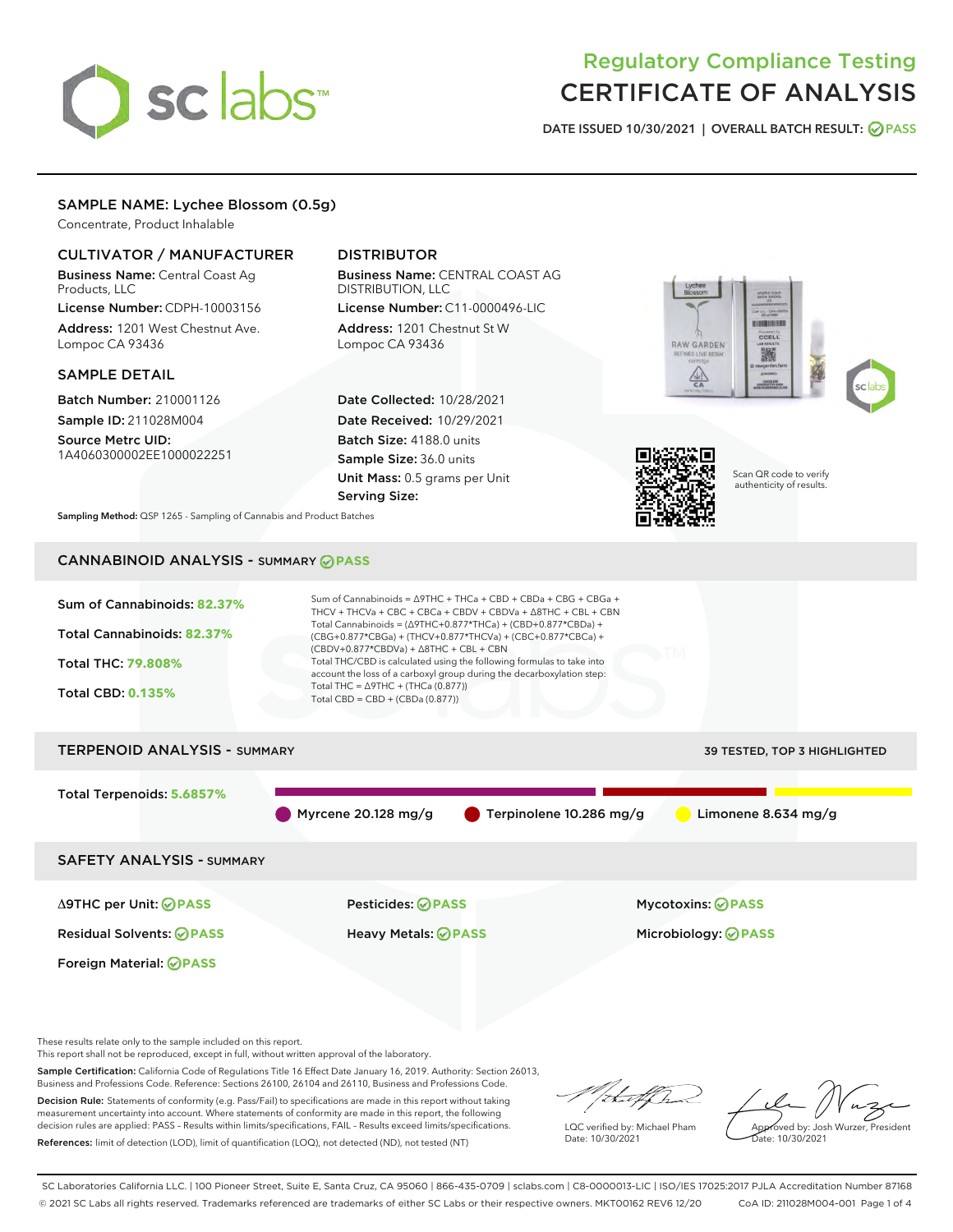# sclabs<sup>\*</sup>

# Regulatory Compliance Testing CERTIFICATE OF ANALYSIS

DATE ISSUED 10/30/2021 | OVERALL BATCH RESULT: @ PASS

### SAMPLE NAME: Lychee Blossom (0.5g)

Concentrate, Product Inhalable

#### CULTIVATOR / MANUFACTURER

Business Name: Central Coast Ag Products, LLC

License Number: CDPH-10003156 Address: 1201 West Chestnut Ave. Lompoc CA 93436

#### SAMPLE DETAIL

Batch Number: 210001126 Sample ID: 211028M004 Source Metrc UID:

1A4060300002EE1000022251

# DISTRIBUTOR

Business Name: CENTRAL COAST AG DISTRIBUTION, LLC License Number: C11-0000496-LIC

Address: 1201 Chestnut St W Lompoc CA 93436

Date Collected: 10/28/2021 Date Received: 10/29/2021 Batch Size: 4188.0 units Sample Size: 36.0 units Unit Mass: 0.5 grams per Unit Serving Size:





Scan QR code to verify authenticity of results.

Sampling Method: QSP 1265 - Sampling of Cannabis and Product Batches

# CANNABINOID ANALYSIS - SUMMARY **PASS**



Foreign Material: **PASS**

These results relate only to the sample included on this report.

This report shall not be reproduced, except in full, without written approval of the laboratory.

Sample Certification: California Code of Regulations Title 16 Effect Date January 16, 2019. Authority: Section 26013, Business and Professions Code. Reference: Sections 26100, 26104 and 26110, Business and Professions Code.

Decision Rule: Statements of conformity (e.g. Pass/Fail) to specifications are made in this report without taking measurement uncertainty into account. Where statements of conformity are made in this report, the following decision rules are applied: PASS – Results within limits/specifications, FAIL – Results exceed limits/specifications. References: limit of detection (LOD), limit of quantification (LOQ), not detected (ND), not tested (NT)

that f(ha

LQC verified by: Michael Pham Date: 10/30/2021

Approved by: Josh Wurzer, President Date: 10/30/2021

SC Laboratories California LLC. | 100 Pioneer Street, Suite E, Santa Cruz, CA 95060 | 866-435-0709 | sclabs.com | C8-0000013-LIC | ISO/IES 17025:2017 PJLA Accreditation Number 87168 © 2021 SC Labs all rights reserved. Trademarks referenced are trademarks of either SC Labs or their respective owners. MKT00162 REV6 12/20 CoA ID: 211028M004-001 Page 1 of 4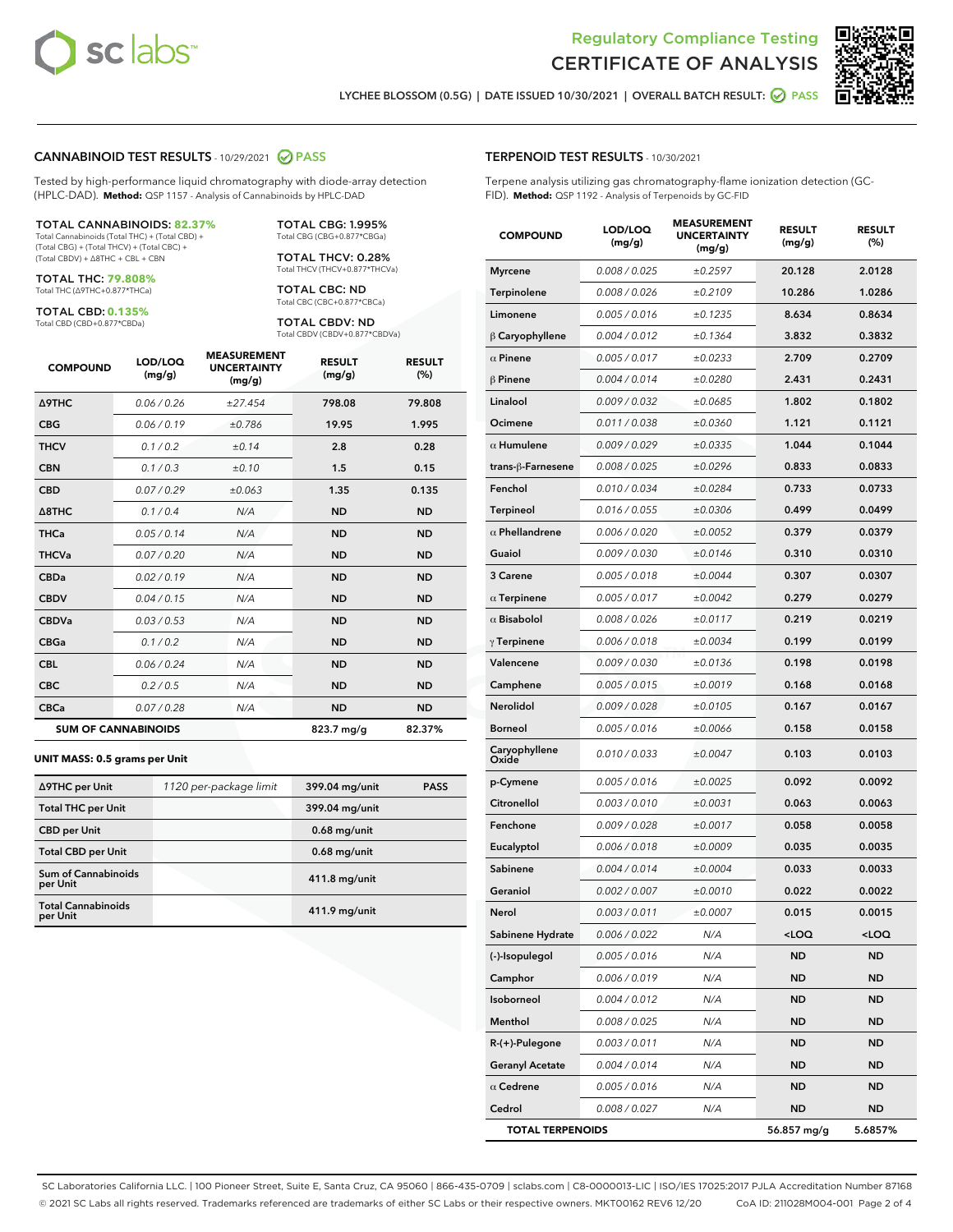



LYCHEE BLOSSOM (0.5G) | DATE ISSUED 10/30/2021 | OVERALL BATCH RESULT: 2 PASS

#### CANNABINOID TEST RESULTS - 10/29/2021 2 PASS

Tested by high-performance liquid chromatography with diode-array detection (HPLC-DAD). **Method:** QSP 1157 - Analysis of Cannabinoids by HPLC-DAD

#### TOTAL CANNABINOIDS: **82.37%**

Total Cannabinoids (Total THC) + (Total CBD) + (Total CBG) + (Total THCV) + (Total CBC) + (Total CBDV) + ∆8THC + CBL + CBN

TOTAL THC: **79.808%** Total THC (∆9THC+0.877\*THCa)

TOTAL CBD: **0.135%**

Total CBD (CBD+0.877\*CBDa)

TOTAL CBG: 1.995% Total CBG (CBG+0.877\*CBGa)

TOTAL THCV: 0.28% Total THCV (THCV+0.877\*THCVa)

TOTAL CBC: ND Total CBC (CBC+0.877\*CBCa)

TOTAL CBDV: ND Total CBDV (CBDV+0.877\*CBDVa)

| <b>COMPOUND</b>            | LOD/LOQ<br>(mg/g) | <b>MEASUREMENT</b><br><b>UNCERTAINTY</b><br>(mg/g) | <b>RESULT</b><br>(mg/g) | <b>RESULT</b><br>(%) |
|----------------------------|-------------------|----------------------------------------------------|-------------------------|----------------------|
| <b>A9THC</b>               | 0.06/0.26         | ±27.454                                            | 798.08                  | 79.808               |
| <b>CBG</b>                 | 0.06/0.19         | ±0.786                                             | 19.95                   | 1.995                |
| <b>THCV</b>                | 0.1 / 0.2         | ±0.14                                              | 2.8                     | 0.28                 |
| <b>CBN</b>                 | 0.1/0.3           | ±0.10                                              | 1.5                     | 0.15                 |
| <b>CBD</b>                 | 0.07/0.29         | ±0.063                                             | 1.35                    | 0.135                |
| $\triangle$ 8THC           | 0.1/0.4           | N/A                                                | <b>ND</b>               | <b>ND</b>            |
| <b>THCa</b>                | 0.05/0.14         | N/A                                                | <b>ND</b>               | <b>ND</b>            |
| <b>THCVa</b>               | 0.07/0.20         | N/A                                                | <b>ND</b>               | <b>ND</b>            |
| <b>CBDa</b>                | 0.02/0.19         | N/A                                                | <b>ND</b>               | <b>ND</b>            |
| <b>CBDV</b>                | 0.04/0.15         | N/A                                                | <b>ND</b>               | <b>ND</b>            |
| <b>CBDVa</b>               | 0.03/0.53         | N/A                                                | <b>ND</b>               | <b>ND</b>            |
| <b>CBGa</b>                | 0.1/0.2           | N/A                                                | <b>ND</b>               | <b>ND</b>            |
| <b>CBL</b>                 | 0.06 / 0.24       | N/A                                                | <b>ND</b>               | <b>ND</b>            |
| <b>CBC</b>                 | 0.2 / 0.5         | N/A                                                | <b>ND</b>               | <b>ND</b>            |
| <b>CBCa</b>                | 0.07 / 0.28       | N/A                                                | <b>ND</b>               | <b>ND</b>            |
| <b>SUM OF CANNABINOIDS</b> |                   |                                                    | $823.7$ mg/g            | 82.37%               |

#### **UNIT MASS: 0.5 grams per Unit**

| ∆9THC per Unit                         | 1120 per-package limit | 399.04 mg/unit | <b>PASS</b> |
|----------------------------------------|------------------------|----------------|-------------|
| <b>Total THC per Unit</b>              |                        | 399.04 mg/unit |             |
| <b>CBD</b> per Unit                    |                        | $0.68$ mg/unit |             |
| <b>Total CBD per Unit</b>              |                        | $0.68$ mg/unit |             |
| <b>Sum of Cannabinoids</b><br>per Unit |                        | 411.8 mg/unit  |             |
| <b>Total Cannabinoids</b><br>per Unit  |                        | 411.9 mg/unit  |             |

| <b>COMPOUND</b>         | LOD/LOQ<br>(mg/g)    | 9396611<br><b>UNCERTAINTY</b><br>(mg/g) | <b>RESULT</b><br>(mg/g)         | <b>RESULT</b><br>(%) |
|-------------------------|----------------------|-----------------------------------------|---------------------------------|----------------------|
| <b>Myrcene</b>          | 0.008 / 0.025        | ±0.2597                                 | 20.128                          | 2.0128               |
| Terpinolene             | 0.008 / 0.026        | ±0.2109                                 | 10.286                          | 1.0286               |
| Limonene                | 0.005 / 0.016        | ±0.1235                                 | 8.634                           | 0.8634               |
| B Caryophyllene         | 0.004 / 0.012        | ±0.1364                                 | 3.832                           | 0.3832               |
| $\alpha$ Pinene         | 0.005 / 0.017        | ±0.0233                                 | 2.709                           | 0.2709               |
| $\beta$ Pinene          | 0.004 / 0.014        | ±0.0280                                 | 2.431                           | 0.2431               |
| Linalool                | 0.009 / 0.032        | ±0.0685                                 | 1.802                           | 0.1802               |
| Ocimene                 | 0.011/0.038          | ±0.0360                                 | 1.121                           | 0.1121               |
| $\alpha$ Humulene       | 0.009 / 0.029        | ±0.0335                                 | 1.044                           | 0.1044               |
| trans-ß-Farnesene       | 0.008 / 0.025        | ±0.0296                                 | 0.833                           | 0.0833               |
| Fenchol                 | 0.010 / 0.034        | ±0.0284                                 | 0.733                           | 0.0733               |
| Terpineol               | 0.016 / 0.055        | ±0.0306                                 | 0.499                           | 0.0499               |
| $\alpha$ Phellandrene   | 0.006 / 0.020        | ±0.0052                                 | 0.379                           | 0.0379               |
| Guaiol                  | 0.009 / 0.030        | ±0.0146                                 | 0.310                           | 0.0310               |
| 3 Carene                | 0.005 / 0.018        | ±0.0044                                 | 0.307                           | 0.0307               |
| $\alpha$ Terpinene      | 0.005 / 0.017        | ±0.0042                                 | 0.279                           | 0.0279               |
| $\alpha$ Bisabolol      | 0.008 / 0.026        | ±0.0117                                 | 0.219                           | 0.0219               |
| $\gamma$ Terpinene      | 0.006 / 0.018        | ±0.0034                                 | 0.199                           | 0.0199               |
| Valencene               | <i>0.009 / 0.030</i> | ±0.0136                                 | 0.198                           | 0.0198               |
| Camphene                | 0.005 / 0.015        | ±0.0019                                 | 0.168                           | 0.0168               |
| <b>Nerolidol</b>        | 0.009 / 0.028        | ±0.0105                                 | 0.167                           | 0.0167               |
| <b>Borneol</b>          | 0.005 / 0.016        | ±0.0066                                 | 0.158                           | 0.0158               |
| Caryophyllene<br>Oxide  | 0.010 / 0.033        | ±0.0047                                 | 0.103                           | 0.0103               |
| p-Cymene                | 0.005 / 0.016        | ±0.0025                                 | 0.092                           | 0.0092               |
| Citronellol             | 0.003 / 0.010        | ±0.0031                                 | 0.063                           | 0.0063               |
| Fenchone                | 0.009 / 0.028        | ±0.0017                                 | 0.058                           | 0.0058               |
| Eucalyptol              | 0.006 / 0.018        | ±0.0009                                 | 0.035                           | 0.0035               |
| Sabinene                | 0.004 / 0.014        | ±0.0004                                 | 0.033                           | 0.0033               |
| Geraniol                | 0.002 / 0.007        | ±0.0010                                 | 0.022                           | 0.0022               |
| Nerol                   | 0.003 / 0.011        | ±0.0007                                 | 0.015                           | 0.0015               |
| Sabinene Hydrate        | 0.006 / 0.022        | N/A                                     | <loq< th=""><th>100</th></loq<> | 100                  |
| (-)-Isopulegol          | 0.005 / 0.016        | N/A                                     | ND                              | ND                   |
| Camphor                 | 0.006 / 0.019        | N/A                                     | ND                              | ND                   |
| Isoborneol              | 0.004 / 0.012        | N/A                                     | ND                              | ND                   |
| Menthol                 | 0.008 / 0.025        | N/A                                     | ND                              | ND                   |
| $R-(+)$ -Pulegone       | 0.003 / 0.011        | N/A                                     | ND                              | ND                   |
| <b>Geranyl Acetate</b>  | 0.004 / 0.014        | N/A                                     | ND                              | ND                   |
| $\alpha$ Cedrene        | 0.005 / 0.016        | N/A                                     | <b>ND</b>                       | ND                   |
| Cedrol                  | 0.008 / 0.027        | N/A                                     | ND                              | ND                   |
| <b>TOTAL TERPENOIDS</b> |                      |                                         | 56.857 mg/g                     | 5.6857%              |

SC Laboratories California LLC. | 100 Pioneer Street, Suite E, Santa Cruz, CA 95060 | 866-435-0709 | sclabs.com | C8-0000013-LIC | ISO/IES 17025:2017 PJLA Accreditation Number 87168 © 2021 SC Labs all rights reserved. Trademarks referenced are trademarks of either SC Labs or their respective owners. MKT00162 REV6 12/20 CoA ID: 211028M004-001 Page 2 of 4

## TERPENOID TEST RESULTS - 10/30/2021

Terpene analysis utilizing gas chromatography-flame ionization detection (GC-FID). **Method:** QSP 1192 - Analysis of Terpenoids by GC-FID

MEACUREMENT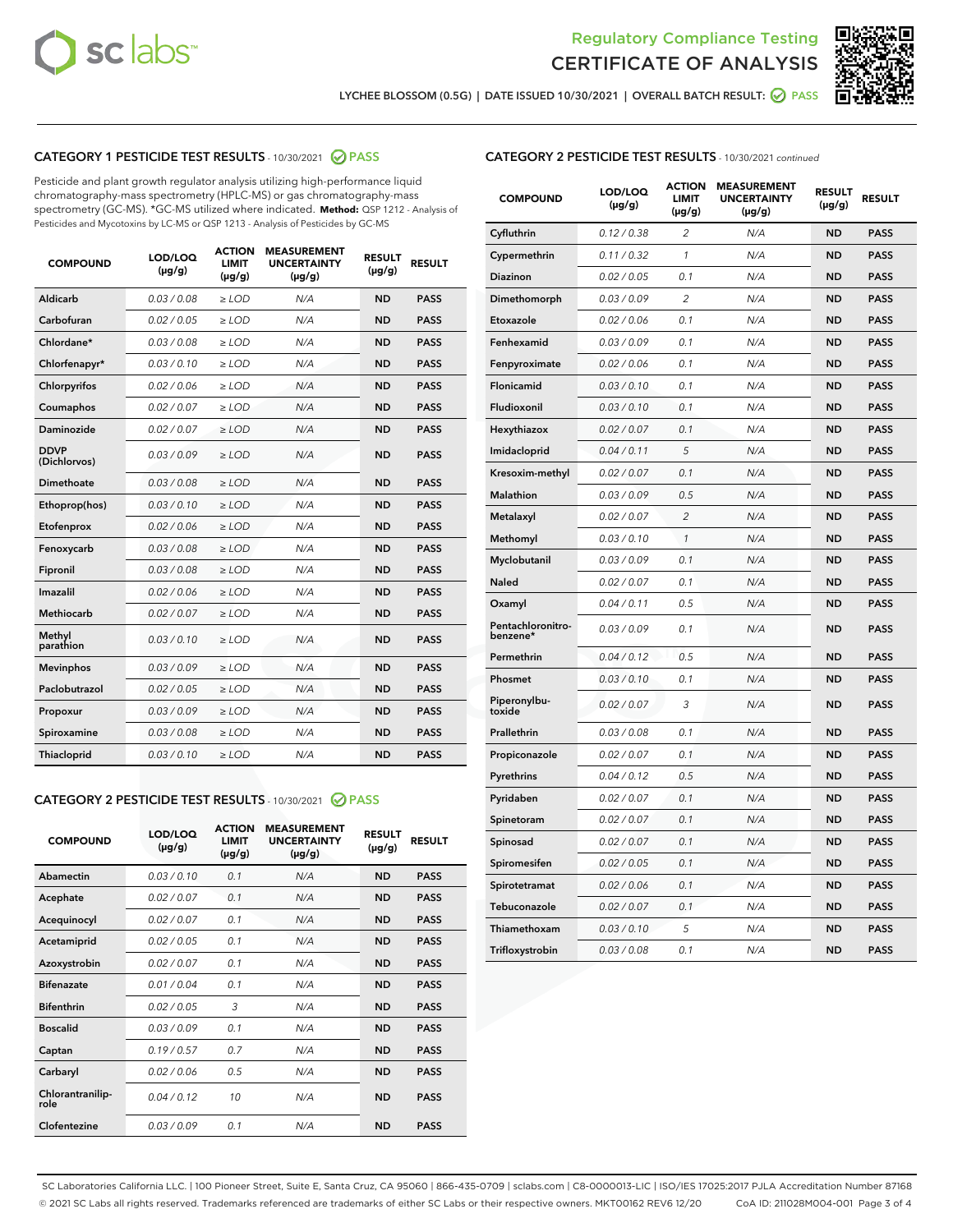



LYCHEE BLOSSOM (0.5G) | DATE ISSUED 10/30/2021 | OVERALL BATCH RESULT: ☑ PASS

# CATEGORY 1 PESTICIDE TEST RESULTS - 10/30/2021 @ PASS

Pesticide and plant growth regulator analysis utilizing high-performance liquid chromatography-mass spectrometry (HPLC-MS) or gas chromatography-mass spectrometry (GC-MS). \*GC-MS utilized where indicated. **Method:** QSP 1212 - Analysis of Pesticides and Mycotoxins by LC-MS or QSP 1213 - Analysis of Pesticides by GC-MS

| <b>COMPOUND</b>             | LOD/LOQ<br>$(\mu g/g)$ | <b>ACTION</b><br>LIMIT<br>$(\mu g/g)$ | <b>MEASUREMENT</b><br><b>UNCERTAINTY</b><br>$(\mu g/g)$ | <b>RESULT</b><br>$(\mu g/g)$ | <b>RESULT</b> |
|-----------------------------|------------------------|---------------------------------------|---------------------------------------------------------|------------------------------|---------------|
| Aldicarb                    | 0.03 / 0.08            | $\geq$ LOD                            | N/A                                                     | <b>ND</b>                    | <b>PASS</b>   |
| Carbofuran                  | 0.02 / 0.05            | $>$ LOD                               | N/A                                                     | <b>ND</b>                    | <b>PASS</b>   |
| Chlordane*                  | 0.03 / 0.08            | ≥ LOD                                 | N/A                                                     | <b>ND</b>                    | <b>PASS</b>   |
| Chlorfenapyr*               | 0.03/0.10              | ≥ LOD                                 | N/A                                                     | <b>ND</b>                    | <b>PASS</b>   |
| Chlorpyrifos                | 0.02 / 0.06            | $\geq$ LOD                            | N/A                                                     | <b>ND</b>                    | <b>PASS</b>   |
| Coumaphos                   | 0.02 / 0.07            | ≥ LOD                                 | N/A                                                     | <b>ND</b>                    | <b>PASS</b>   |
| Daminozide                  | 0.02 / 0.07            | $\geq$ LOD                            | N/A                                                     | <b>ND</b>                    | <b>PASS</b>   |
| <b>DDVP</b><br>(Dichlorvos) | 0.03/0.09              | $\geq$ LOD                            | N/A                                                     | <b>ND</b>                    | <b>PASS</b>   |
| Dimethoate                  | 0.03 / 0.08            | $\ge$ LOD                             | N/A                                                     | <b>ND</b>                    | <b>PASS</b>   |
| Ethoprop(hos)               | 0.03/0.10              | $>$ LOD                               | N/A                                                     | <b>ND</b>                    | <b>PASS</b>   |
| Etofenprox                  | 0.02 / 0.06            | $>$ LOD                               | N/A                                                     | <b>ND</b>                    | <b>PASS</b>   |
| Fenoxycarb                  | 0.03 / 0.08            | $\geq$ LOD                            | N/A                                                     | <b>ND</b>                    | <b>PASS</b>   |
| Fipronil                    | 0.03/0.08              | $\geq$ LOD                            | N/A                                                     | <b>ND</b>                    | <b>PASS</b>   |
| Imazalil                    | 0.02 / 0.06            | $\geq$ LOD                            | N/A                                                     | <b>ND</b>                    | <b>PASS</b>   |
| <b>Methiocarb</b>           | 0.02 / 0.07            | ≥ LOD                                 | N/A                                                     | <b>ND</b>                    | <b>PASS</b>   |
| Methyl<br>parathion         | 0.03/0.10              | $\geq$ LOD                            | N/A                                                     | <b>ND</b>                    | <b>PASS</b>   |
| <b>Mevinphos</b>            | 0.03/0.09              | $\geq$ LOD                            | N/A                                                     | <b>ND</b>                    | <b>PASS</b>   |
| Paclobutrazol               | 0.02 / 0.05            | $\geq$ LOD                            | N/A                                                     | <b>ND</b>                    | <b>PASS</b>   |
| Propoxur                    | 0.03/0.09              | ≥ LOD                                 | N/A                                                     | <b>ND</b>                    | <b>PASS</b>   |
| Spiroxamine                 | 0.03 / 0.08            | $\ge$ LOD                             | N/A                                                     | <b>ND</b>                    | <b>PASS</b>   |
| <b>Thiacloprid</b>          | 0.03/0.10              | $\geq$ LOD                            | N/A                                                     | <b>ND</b>                    | <b>PASS</b>   |
|                             |                        |                                       |                                                         |                              |               |

# CATEGORY 2 PESTICIDE TEST RESULTS - 10/30/2021 @ PASS

| <b>COMPOUND</b>          | LOD/LOQ<br>$(\mu g/g)$ | <b>ACTION</b><br>LIMIT<br>$(\mu g/g)$ | <b>MEASUREMENT</b><br><b>UNCERTAINTY</b><br>$(\mu g/g)$ | <b>RESULT</b><br>$(\mu g/g)$ | <b>RESULT</b> |
|--------------------------|------------------------|---------------------------------------|---------------------------------------------------------|------------------------------|---------------|
| Abamectin                | 0.03/0.10              | 0.1                                   | N/A                                                     | <b>ND</b>                    | <b>PASS</b>   |
| Acephate                 | 0.02/0.07              | 0.1                                   | N/A                                                     | <b>ND</b>                    | <b>PASS</b>   |
| Acequinocyl              | 0.02/0.07              | 0.1                                   | N/A                                                     | <b>ND</b>                    | <b>PASS</b>   |
| Acetamiprid              | 0.02/0.05              | 0.1                                   | N/A                                                     | <b>ND</b>                    | <b>PASS</b>   |
| Azoxystrobin             | 0.02/0.07              | 0.1                                   | N/A                                                     | <b>ND</b>                    | <b>PASS</b>   |
| <b>Bifenazate</b>        | 0.01/0.04              | 0.1                                   | N/A                                                     | <b>ND</b>                    | <b>PASS</b>   |
| <b>Bifenthrin</b>        | 0.02/0.05              | 3                                     | N/A                                                     | <b>ND</b>                    | <b>PASS</b>   |
| <b>Boscalid</b>          | 0.03/0.09              | 0.1                                   | N/A                                                     | <b>ND</b>                    | <b>PASS</b>   |
| Captan                   | 0.19/0.57              | 0.7                                   | N/A                                                     | <b>ND</b>                    | <b>PASS</b>   |
| Carbaryl                 | 0.02/0.06              | 0.5                                   | N/A                                                     | <b>ND</b>                    | <b>PASS</b>   |
| Chlorantranilip-<br>role | 0.04/0.12              | 10                                    | N/A                                                     | <b>ND</b>                    | <b>PASS</b>   |
| Clofentezine             | 0.03/0.09              | 0.1                                   | N/A                                                     | <b>ND</b>                    | <b>PASS</b>   |

#### CATEGORY 2 PESTICIDE TEST RESULTS - 10/30/2021 continued

| <b>COMPOUND</b>               | LOD/LOQ<br>(µg/g) | <b>ACTION</b><br><b>LIMIT</b><br>$(\mu g/g)$ | <b>MEASUREMENT</b><br><b>UNCERTAINTY</b><br>$(\mu g/g)$ | <b>RESULT</b><br>(µg/g) | <b>RESULT</b> |
|-------------------------------|-------------------|----------------------------------------------|---------------------------------------------------------|-------------------------|---------------|
| Cyfluthrin                    | 0.12 / 0.38       | $\overline{c}$                               | N/A                                                     | <b>ND</b>               | <b>PASS</b>   |
| Cypermethrin                  | 0.11 / 0.32       | 1                                            | N/A                                                     | ND                      | <b>PASS</b>   |
| <b>Diazinon</b>               | 0.02 / 0.05       | 0.1                                          | N/A                                                     | ND                      | <b>PASS</b>   |
| Dimethomorph                  | 0.03 / 0.09       | 2                                            | N/A                                                     | ND                      | <b>PASS</b>   |
| Etoxazole                     | 0.02 / 0.06       | 0.1                                          | N/A                                                     | ND                      | <b>PASS</b>   |
| Fenhexamid                    | 0.03 / 0.09       | 0.1                                          | N/A                                                     | <b>ND</b>               | <b>PASS</b>   |
| Fenpyroximate                 | 0.02 / 0.06       | 0.1                                          | N/A                                                     | ND                      | <b>PASS</b>   |
| Flonicamid                    | 0.03 / 0.10       | 0.1                                          | N/A                                                     | ND                      | <b>PASS</b>   |
| Fludioxonil                   | 0.03 / 0.10       | 0.1                                          | N/A                                                     | <b>ND</b>               | <b>PASS</b>   |
| Hexythiazox                   | 0.02 / 0.07       | 0.1                                          | N/A                                                     | <b>ND</b>               | <b>PASS</b>   |
| Imidacloprid                  | 0.04 / 0.11       | 5                                            | N/A                                                     | ND                      | <b>PASS</b>   |
| Kresoxim-methyl               | 0.02 / 0.07       | 0.1                                          | N/A                                                     | <b>ND</b>               | <b>PASS</b>   |
| <b>Malathion</b>              | 0.03 / 0.09       | 0.5                                          | N/A                                                     | <b>ND</b>               | <b>PASS</b>   |
| Metalaxyl                     | 0.02 / 0.07       | $\overline{c}$                               | N/A                                                     | ND                      | <b>PASS</b>   |
| Methomyl                      | 0.03 / 0.10       | 1                                            | N/A                                                     | <b>ND</b>               | <b>PASS</b>   |
| Myclobutanil                  | 0.03 / 0.09       | 0.1                                          | N/A                                                     | ND                      | <b>PASS</b>   |
| Naled                         | 0.02 / 0.07       | 0.1                                          | N/A                                                     | ND                      | <b>PASS</b>   |
| Oxamyl                        | 0.04 / 0.11       | 0.5                                          | N/A                                                     | ND                      | <b>PASS</b>   |
| Pentachloronitro-<br>benzene* | 0.03 / 0.09       | 0.1                                          | N/A                                                     | ND                      | <b>PASS</b>   |
| Permethrin                    | 0.04 / 0.12       | 0.5                                          | N/A                                                     | ND                      | <b>PASS</b>   |
| Phosmet                       | 0.03 / 0.10       | 0.1                                          | N/A                                                     | <b>ND</b>               | <b>PASS</b>   |
| Piperonylbu-<br>toxide        | 0.02 / 0.07       | 3                                            | N/A                                                     | ND                      | <b>PASS</b>   |
| Prallethrin                   | 0.03 / 0.08       | 0.1                                          | N/A                                                     | <b>ND</b>               | <b>PASS</b>   |
| Propiconazole                 | 0.02 / 0.07       | 0.1                                          | N/A                                                     | ND                      | <b>PASS</b>   |
| Pyrethrins                    | 0.04 / 0.12       | 0.5                                          | N/A                                                     | ND                      | <b>PASS</b>   |
| Pyridaben                     | 0.02 / 0.07       | 0.1                                          | N/A                                                     | ND                      | <b>PASS</b>   |
| Spinetoram                    | 0.02 / 0.07       | 0.1                                          | N/A                                                     | <b>ND</b>               | <b>PASS</b>   |
| Spinosad                      | 0.02 / 0.07       | 0.1                                          | N/A                                                     | ND                      | <b>PASS</b>   |
| Spiromesifen                  | 0.02 / 0.05       | 0.1                                          | N/A                                                     | <b>ND</b>               | <b>PASS</b>   |
| Spirotetramat                 | 0.02 / 0.06       | 0.1                                          | N/A                                                     | ND                      | <b>PASS</b>   |
| Tebuconazole                  | 0.02 / 0.07       | 0.1                                          | N/A                                                     | ND                      | <b>PASS</b>   |
| Thiamethoxam                  | 0.03 / 0.10       | 5                                            | N/A                                                     | <b>ND</b>               | <b>PASS</b>   |
| Trifloxystrobin               | 0.03 / 0.08       | 0.1                                          | N/A                                                     | <b>ND</b>               | <b>PASS</b>   |

SC Laboratories California LLC. | 100 Pioneer Street, Suite E, Santa Cruz, CA 95060 | 866-435-0709 | sclabs.com | C8-0000013-LIC | ISO/IES 17025:2017 PJLA Accreditation Number 87168 © 2021 SC Labs all rights reserved. Trademarks referenced are trademarks of either SC Labs or their respective owners. MKT00162 REV6 12/20 CoA ID: 211028M004-001 Page 3 of 4